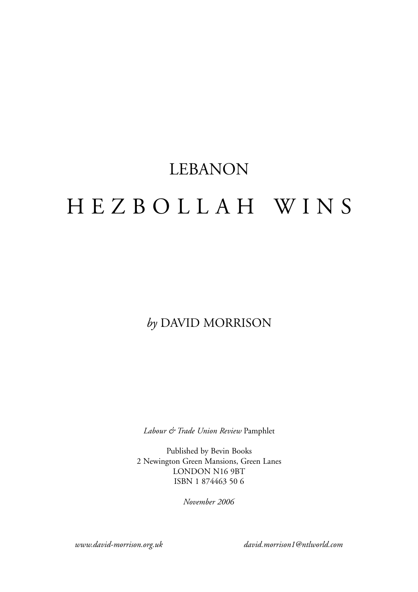# LEBANON HEZBOLLAH WINS

### *by* DAVID MORRISON

*Labour & Trade Union Review* Pamphlet

Published by Bevin Books 2 Newington Green Mansions, Green Lanes LONDON N16 9BT ISBN 1 874463 50 6

*November 2006*

*www.david-morrison.org.uk david.morrison1@ntlworld.com*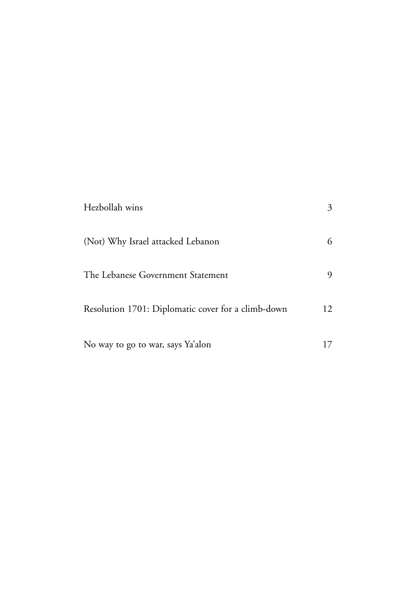| Hezbollah wins                                     | 3  |
|----------------------------------------------------|----|
| (Not) Why Israel attacked Lebanon                  | 6  |
| The Lebanese Government Statement                  |    |
| Resolution 1701: Diplomatic cover for a climb-down | 12 |
| No way to go to war, says Ya'alon                  |    |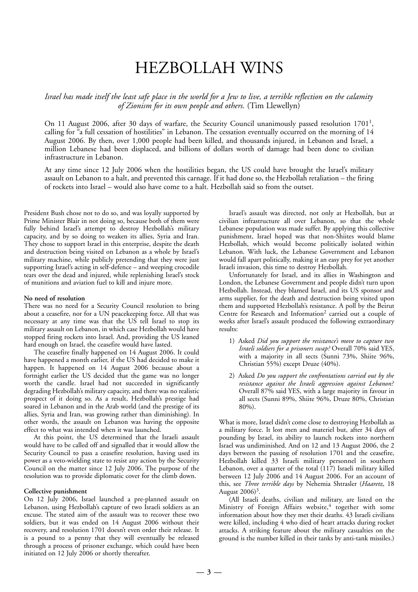## HEZBOLLAH WINS

*Israel has made itself the least safe place in the world for a Jew to live, a terrible reflection on the calamity of Zionism for its own people and others.* (Tim Llewellyn)

On 11 August 2006, after 30 days of warfare, the Security Council unanimously passed resolution  $1701<sup>1</sup>$ , calling for "a full cessation of hostilities" in Lebanon. The cessation eventually occurred on the morning of 14 August 2006. By then, over 1,000 people had been killed, and thousands injured, in Lebanon and Israel, a million Lebanese had been displaced, and billions of dollars worth of damage had been done to civilian infrastructure in Lebanon.

At any time since 12 July 2006 when the hostilities began, the US could have brought the Israel's military assault on Lebanon to a halt, and prevented this carnage. If it had done so, the Hezbollah retaliation – the firing of rockets into Israel – would also have come to a halt. Hezbollah said so from the outset.

President Bush chose not to do so, and was loyally supported by Prime Minister Blair in not doing so, because both of them were fully behind Israel's attempt to destroy Hezbollah's military capacity, and by so doing to weaken its allies, Syria and Iran. They chose to support Israel in this enterprise, despite the death and destruction being visited on Lebanon as a whole by Israel's military machine, while publicly pretending that they were just supporting Israel's acting in self-defence – and weeping crocodile tears over the dead and injured, while replenishing Israel's stock of munitions and aviation fuel to kill and injure more.

#### **No need of resolution**

There was no need for a Security Council resolution to bring about a ceasefire, nor for a UN peacekeeping force. All that was necessary at any time was that the US tell Israel to stop its military assault on Lebanon, in which case Hezbollah would have stopped firing rockets into Israel. And, providing the US leaned hard enough on Israel, the ceasefire would have lasted.

The ceasefire finally happened on 14 August 2006. It could have happened a month earlier, if the US had decided to make it happen. It happened on 14 August 2006 because about a fortnight earlier the US decided that the game was no longer worth the candle. Israel had not succeeded in significantly degrading Hezbollah's military capacity, and there was no realistic prospect of it doing so. As a result, Hezbollah's prestige had soared in Lebanon and in the Arab world (and the prestige of its allies, Syria and Iran, was growing rather than diminishing). In other words, the assault on Lebanon was having the opposite effect to what was intended when it was launched.

At this point, the US determined that the Israeli assault would have to be called off and signalled that it would allow the Security Council to pass a ceasefire resolution, having used its power as a veto-wielding state to resist any action by the Security Council on the matter since 12 July 2006. The purpose of the resolution was to provide diplomatic cover for the climb down.

#### **Collective punishment**

On 12 July 2006, Israel launched a pre-planned assault on Lebanon, using Hezbollah's capture of two Israeli soldiers as an excuse. The stated aim of the assault was to recover these two soldiers, but it was ended on 14 August 2006 without their recovery, and resolution 1701 doesn't even order their release. It is a pound to a penny that they will eventually be released through a process of prisoner exchange, which could have been initiated on 12 July 2006 or shortly thereafter.

Israel's assault was directed, not only at Hezbollah, but at civilian infrastructure all over Lebanon, so that the whole Lebanese population was made suffer. By applying this collective punishment, Israel hoped was that non-Shiites would blame Hezbollah, which would become politically isolated within Lebanon. With luck, the Lebanese Government and Lebanon would fall apart politically, making it an easy prey for yet another Israeli invasion, this time to destroy Hezbollah.

Unfortunately for Israel, and its allies in Washington and London, the Lebanese Government and people didn't turn upon Hezbollah. Instead, they blamed Israel, and its US sponsor and arms supplier, for the death and destruction being visited upon them and supported Hezbollah's resistance. A poll by the Beirut Centre for Research and Information<sup>2</sup> carried out a couple of weeks after Israel's assault produced the following extraordinary results:

- 1) Asked *Did you support the resistance's move to capture two Israeli soldiers for a prisoners swap?* Overall 70% said YES, with a majority in all sects (Sunni 73%, Shiite 96%, Christian 55%) except Druze (40%).
- 2) Asked *Do you support the confrontations carried out by the resistance against the Israeli aggression against Lebanon?* Overall 87% said YES, with a large majority in favour in all sects (Sunni 89%, Shiite 96%, Druze 80%, Christian 80%).

What is more, Israel didn't come close to destroying Hezbollah as a military force. It lost men and materiel but, after 34 days of pounding by Israel, its ability to launch rockets into northern Israel was undiminished. And on 12 and 13 August 2006, the 2 days between the passing of resolution 1701 and the ceasefire, Hezbollah killed 33 Israeli military personnel in southern Lebanon, over a quarter of the total (117) Israeli military killed between 12 July 2006 and 14 August 2006. For an account of this, see *Three terrible days* by Nehemia Shtrasler (*Haaretz*, 18 August  $2006$ <sup>3</sup>.

(All Israeli deaths, civilian and military, are listed on the Ministry of Foreign Affairs website, $4$  together with some information about how they met their deaths. 43 Israeli civilians were killed, including 4 who died of heart attacks during rocket attacks. A striking feature about the military casualties on the ground is the number killed in their tanks by anti-tank missiles.)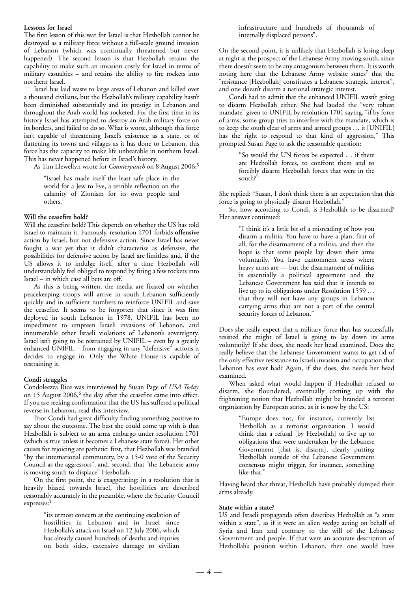#### **Lessons for Israel**

The first lesson of this war for Israel is that Hezbollah cannot be destroyed as a military force without a full-scale ground invasion of Lebanon (which was continually threatened but never happened). The second lesson is that Hezbollah retains the capability to make such an invasion costly for Israel in terms of military casualties – and retains the ability to fire rockets into northern Israel.

Israel has laid waste to large areas of Lebanon and killed over a thousand civilians, but the Hezbollah's military capability hasn't been diminished substantially and its prestige in Lebanon and throughout the Arab world has rocketed. For the first time in its history Israel has attempted to destroy an Arab military force on its borders, and failed to do so. What is worse, although this force isn't capable of threatening Israel's existence as a state, or of flattening its towns and villages as it has done to Lebanon, this force has the capacity to make life unbearable in northern Israel. This has never happened before in Israel's history.

As Tim Llewellyn wrote for *Counterpunch* on 8 August 2006:5

"Israel has made itself the least safe place in the world for a Jew to live, a terrible reflection on the calamity of Zionism for its own people and others."

#### **Will the ceasefire hold?**

Will the ceasefire hold? This depends on whether the US has told Israel to maintain it. Famously, resolution 1701 forbids **offensive** action by Israel, but not defensive action. Since Israel has never fought a war yet that it didn't characterise as defensive, the possibilities for defensive action by Israel are limitless and, if the US allows it to indulge itself, after a time Hezbollah will understandably feel obliged to respond by firing a few rockets into Israel – in which case all bets are off.

As this is being written, the media are fixated on whether peacekeeping troops will arrive in south Lebanon sufficiently quickly and in sufficient numbers to reinforce UNIFIL and save the ceasefire. It seems to be forgotten that since it was first deployed in south Lebanon in 1978, UNIFIL has been no impediment to umpteen Israeli invasions of Lebanon, and innumerable other Israeli violations of Lebanon's sovereignty. Israel isn't going to be restrained by UNIFIL – even by a greatly enhanced UNIFIL – from engaging in any "defensive" actions it decides to engage in. Only the White House is capable of restraining it.

#### **Condi struggles**

Condoleezza Rice was interviewed by Susan Page of *USA Today* on 15 August 2006,<sup>6</sup> the day after the ceasefire came into effect. If you are seeking confirmation that the US has suffered a political reverse in Lebanon, read this interview.

Poor Condi had great difficulty finding something positive to say about the outcome. The best she could come up with is that Hezbollah is subject to an arms embargo under resolution 1701 (which is true unless it becomes a Lebanese state force). Her other causes for rejoicing are pathetic: first, that Hezbollah was branded "by the international community, by a 15-0 vote of the Security Council as the aggressors", and, second, that "the Lebanese army is moving south to displace" Hezbollah.

On the first point, she is exaggerating: in a resolution that is heavily biased towards Israel, the hostilities are described reasonably accurately in the preamble, where the Security Council expresses:1

> "its utmost concern at the continuing escalation of hostilities in Lebanon and in Israel since Hezbollah's attack on Israel on 12 July 2006, which has already caused hundreds of deaths and injuries on both sides, extensive damage to civilian

infrastructure and hundreds of thousands of internally displaced persons".

On the second point, it is unlikely that Hezbollah is losing sleep at night at the prospect of the Lebanese Army moving south, since there doesn't seem to be any antagonism between them. It is worth noting here that the Lebanese Army website states<sup>7</sup> that the "resistance [Hezbollah] constitutes a Lebanese strategic interest", and one doesn't disarm a national strategic interest.

Condi had to admit that the enhanced UNIFIL wasn't going to disarm Hezbollah either. She had lauded the "very robust mandate" given to UNIFIL by resolution 1701 saying, "if by force of arms, some group tries to interfere with the mandate, which is to keep the south clear of arms and armed groups … it [UNIFIL] has the right to respond to that kind of aggression," This prompted Susan Page to ask the reasonable question:

> "So would the UN forces be expected … if there are Hezbollah forces, to confront them and to forcibly disarm Hezbollah forces that were in the south?"

She replied: "Susan, I don't think there is an expectation that this force is going to physically disarm Hezbollah."

So, how according to Condi, is Hezbollah to be disarmed? Her answer continued:

> "I think it's a little bit of a misreading of how you disarm a militia. You have to have a plan, first of all, for the disarmament of a militia, and then the hope is that some people lay down their arms voluntarily. You have cantonment areas where heavy arms are — but the disarmament of militias is essentially a political agreement and the Lebanese Government has said that it intends to live up to its obligations under Resolution 1559 … that they will not have any groups in Lebanon carrying arms that are not a part of the central security forces of Lebanon."

Does she really expect that a military force that has successfully resisted the might of Israel is going to lay down its arms voluntarily? If she does, she needs her head examined. Does she really believe that the Lebanese Government wants to get rid of the only effective resistance to Israeli invasion and occupation that Lebanon has ever had? Again, if she does, she needs her head examined.

When asked what would happen if Hezbollah refused to disarm, she floundered, eventually coming up with the frightening notion that Hezbollah might be branded a terrorist organisation by European states, as it is now by the US:

> "Europe does not, for instance, currently list Hezbollah as a terrorist organization. I would think that a refusal [by Hezbollah] to live up to obligations that were undertaken by the Lebanese Government [that is, disarm], clearly putting Hezbollah outside of the Lebanese Government consensus might trigger, for instance, something like that."

Having heard that threat, Hezbollah have probably dumped their arms already.

#### **State within a state?**

US and Israeli propaganda often describes Hezbollah as "a state within a state", as if it were an alien wedge acting on behalf of Syria and Iran and contrary to the will of the Lebanese Government and people. If that were an accurate description of Hezbollah's position within Lebanon, then one would have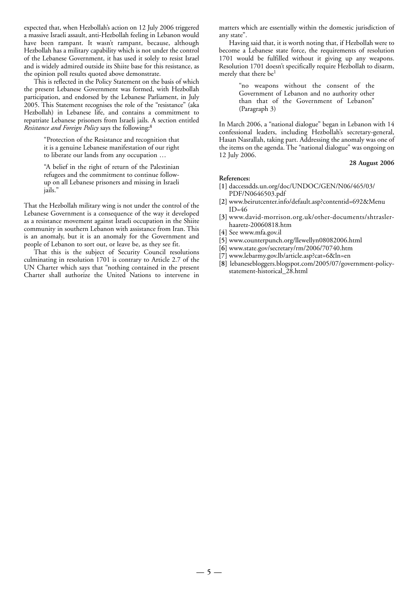expected that, when Hezbollah's action on 12 July 2006 triggered a massive Israeli assault, anti-Hezbollah feeling in Lebanon would have been rampant. It wasn't rampant, because, although Hezbollah has a military capability which is not under the control of the Lebanese Government, it has used it solely to resist Israel and is widely admired outside its Shiite base for this resistance, as the opinion poll results quoted above demonstrate.

This is reflected in the Policy Statement on the basis of which the present Lebanese Government was formed, with Hezbollah participation, and endorsed by the Lebanese Parliament, in July 2005. This Statement recognises the role of the "resistance" (aka Hezbollah) in Lebanese life, and contains a commitment to repatriate Lebanese prisoners from Israeli jails. A section entitled *Resistance and Foreign Policy* says the following:8

> "Protection of the Resistance and recognition that it is a genuine Lebanese manifestation of our right to liberate our lands from any occupation …

> "A belief in the right of return of the Palestinian refugees and the commitment to continue followup on all Lebanese prisoners and missing in Israeli jails."

That the Hezbollah military wing is not under the control of the Lebanese Government is a consequence of the way it developed as a resistance movement against Israeli occupation in the Shiite community in southern Lebanon with assistance from Iran. This is an anomaly, but it is an anomaly for the Government and people of Lebanon to sort out, or leave be, as they see fit.

That this is the subject of Security Council resolutions culminating in resolution 1701 is contrary to Article 2.7 of the UN Charter which says that "nothing contained in the present Charter shall authorize the United Nations to intervene in matters which are essentially within the domestic jurisdiction of any state".

Having said that, it is worth noting that, if Hezbollah were to become a Lebanese state force, the requirements of resolution 1701 would be fulfilled without it giving up any weapons. Resolution 1701 doesn't specifically require Hezbollah to disarm, merely that there be<sup>1</sup>

> "no weapons without the consent of the Government of Lebanon and no authority other than that of the Government of Lebanon" (Paragraph 3)

In March 2006, a "national dialogue" began in Lebanon with 14 confessional leaders, including Hezbollah's secretary-general, Hasan Nasrallah, taking part. Addressing the anomaly was one of the items on the agenda. The "national dialogue" was ongoing on 12 July 2006.

#### **28 August 2006**

- **[1]** daccessdds.un.org/doc/UNDOC/GEN/N06/465/03/ PDF/N0646503.pdf
- **[2]** www.beirutcenter.info/default.asp?contentid=692&Menu ID=46
- **[3]** www.david-morrison.org.uk/other-documents/shtraslerhaaretz-20060818.htm
- **[4]** See www.mfa.gov.il
- **[5]** www.counterpunch.org/llewellyn08082006.html
- **[6]** www.state.gov/secretary/rm/2006/70740.htm
- **[7]** www.lebarmy.gov.lb/article.asp?cat=6&ln=en
- **[8]** lebanesebloggers.blogspot.com/2005/07/government-policystatement-historical\_28.html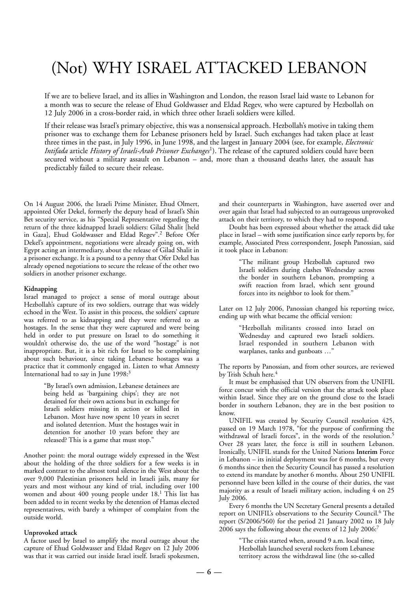# (Not) WHY ISRAEL ATTACKED LEBANON

If we are to believe Israel, and its allies in Washington and London, the reason Israel laid waste to Lebanon for a month was to secure the release of Ehud Goldwasser and Eldad Regev, who were captured by Hezbollah on 12 July 2006 in a cross-border raid, in which three other Israeli soldiers were killed.

If their release was Israel's primary objective, this was a nonsensical approach. Hezbollah's motive in taking them prisoner was to exchange them for Lebanese prisoners held by Israel. Such exchanges had taken place at least three times in the past, in July 1996, in June 1998, and the largest in January 2004 (see, for example, *Electronic Intifada* article *History of Israeli-Arab Prisoner Exchanges*1). The release of the captured soldiers could have been secured without a military assault on Lebanon – and, more than a thousand deaths later, the assault has predictably failed to secure their release.

On 14 August 2006, the Israeli Prime Minister, Ehud Olmert, appointed Ofer Dekel, formerly the deputy head of Israel's Shin Bet security service, as his "Special Representative regarding the return of the three kidnapped Israeli soldiers: Gilad Shalit [held in Gaza], Ehud Goldwasser and Eldad Regev".<sup>2</sup> Before Ofer Dekel's appointment, negotiations were already going on, with Egypt acting an intermediary, about the release of Gilad Shalit in a prisoner exchange. It is a pound to a penny that Ofer Dekel has already opened negotiations to secure the release of the other two soldiers in another prisoner exchange.

#### **Kidnapping**

Israel managed to project a sense of moral outrage about Hezbollah's capture of its two soldiers, outrage that was widely echoed in the West. To assist in this process, the soldiers' capture was referred to as kidnapping and they were referred to as hostages. In the sense that they were captured and were being held in order to put pressure on Israel to do something it wouldn't otherwise do, the use of the word "hostage" is not inappropriate. But, it is a bit rich for Israel to be complaining about such behaviour, since taking Lebanese hostages was a practice that it commonly engaged in. Listen to what Amnesty International had to say in June 1998:<sup>3</sup>

> "By Israel's own admission, Lebanese detainees are being held as 'bargaining chips'; they are not detained for their own actions but in exchange for Israeli soldiers missing in action or killed in Lebanon. Most have now spent 10 years in secret and isolated detention. Must the hostages wait in detention for another 10 years before they are released? This is a game that must stop."

Another point: the moral outrage widely expressed in the West about the holding of the three soldiers for a few weeks is in marked contrast to the almost total silence in the West about the over 9,000 Palestinian prisoners held in Israeli jails, many for years and most without any kind of trial, including over 100 women and about 400 young people under 18.1 This list has been added to in recent weeks by the detention of Hamas elected representatives, with barely a whimper of complaint from the outside world.

#### **Unprovoked attack**

A factor used by Israel to amplify the moral outrage about the capture of Ehud Goldwasser and Eldad Regev on 12 July 2006 was that it was carried out inside Israel itself. Israeli spokesmen, and their counterparts in Washington, have asserted over and over again that Israel had subjected to an outrageous unprovoked attack on their territory, to which they had to respond.

Doubt has been expressed about whether the attack did take place in Israel – with some justification since early reports by, for example, Associated Press correspondent, Joseph Panossian, said it took place in Lebanon:

> "The militant group Hezbollah captured two Israeli soldiers during clashes Wednesday across the border in southern Lebanon, prompting a swift reaction from Israel, which sent ground forces into its neighbor to look for them."

Later on 12 July 2006, Panossian changed his reporting twice, ending up with what became the official version:

> "Hezbollah militants crossed into Israel on Wednesday and captured two Israeli soldiers. Israel responded in southern Lebanon with warplanes, tanks and gunboats …"

The reports by Panossian, and from other sources, are reviewed by Trish Schuh here.<sup>4</sup>

It must be emphasised that UN observers from the UNIFIL force concur with the official version that the attack took place within Israel. Since they are on the ground close to the Israeli border in southern Lebanon, they are in the best position to know.

UNIFIL was created by Security Council resolution 425, passed on 19 March 1978, "for the purpose of confirming the withdrawal of Israeli forces", in the words of the resolution.<sup>5</sup> Over 28 years later, the force is still in southern Lebanon. Ironically, UNIFIL stands for the United Nations **Interim** Force in Lebanon – its initial deployment was for 6 months, but every 6 months since then the Security Council has passed a resolution to extend its mandate by another 6 months. About 250 UNIFIL personnel have been killed in the course of their duties, the vast majority as a result of Israeli military action, including 4 on 25 July 2006.

Every 6 months the UN Secretary General presents a detailed report on UNIFIL's observations to the Security Council.6 The report (S/2006/560) for the period 21 January 2002 to 18 July 2006 says the following about the events of 12 July 2006:7

> "The crisis started when, around 9 a.m. local time, Hezbollah launched several rockets from Lebanese territory across the withdrawal line (the so-called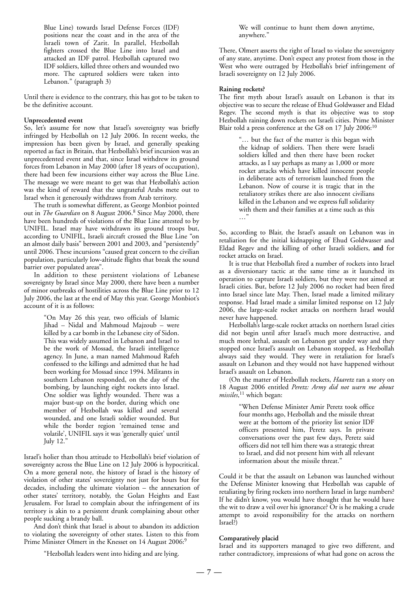Blue Line) towards Israel Defense Forces (IDF) positions near the coast and in the area of the Israeli town of Zarit. In parallel, Hezbollah fighters crossed the Blue Line into Israel and attacked an IDF patrol. Hezbollah captured two IDF soldiers, killed three others and wounded two more. The captured soldiers were taken into Lebanon." (paragraph 3)

Until there is evidence to the contrary, this has got to be taken to be the definitive account.

#### **Unprecedented event**

So, let's assume for now that Israel's sovereignty was briefly infringed by Hezbollah on 12 July 2006. In recent weeks, the impression has been given by Israel, and generally speaking reported as fact in Britain, that Hezbollah's brief incursion was an unprecedented event and that, since Israel withdrew its ground forces from Lebanon in May 2000 (after 18 years of occupation), there had been few incursions either way across the Blue Line. The message we were meant to get was that Hezbollah's action was the kind of reward that the ungrateful Arabs mete out to Israel when it generously withdraws from Arab territory.

The truth is somewhat different, as George Monbiot pointed out in *The Guardian* on 8 August 2006.<sup>8</sup> Since May 2000, there have been hundreds of violations of the Blue Line attested to by UNIFIL. Israel may have withdrawn its ground troops but, according to UNIFIL, Israeli aircraft crossed the Blue Line "on an almost daily basis" between 2001 and 2003, and "persistently" until 2006. These incursions "caused great concern to the civilian population, particularly low-altitude flights that break the sound barrier over populated areas".

In addition to these persistent violations of Lebanese sovereignty by Israel since May 2000, there have been a number of minor outbreaks of hostilities across the Blue Line prior to 12 July 2006, the last at the end of May this year. George Monbiot's account of it is as follows:

> "On May 26 this year, two officials of Islamic Jihad – Nidal and Mahmoud Majzoub – were killed by a car bomb in the Lebanese city of Sidon. This was widely assumed in Lebanon and Israel to be the work of Mossad, the Israeli intelligence agency. In June, a man named Mahmoud Rafeh confessed to the killings and admitted that he had been working for Mossad since 1994. Militants in southern Lebanon responded, on the day of the bombing, by launching eight rockets into Israel. One soldier was lightly wounded. There was a major bust-up on the border, during which one member of Hezbollah was killed and several wounded, and one Israeli soldier wounded. But while the border region 'remained tense and volatile', UNIFIL says it was 'generally quiet' until July 12."

Israel's holier than thou attitude to Hezbollah's brief violation of sovereignty across the Blue Line on 12 July 2006 is hypocritical. On a more general note, the history of Israel is the history of violation of other states' sovereignty not just for hours but for decades, including the ultimate violation – the annexation of other states' territory, notably, the Golan Heights and East Jerusalem. For Israel to complain about the infringement of its territory is akin to a persistent drunk complaining about other people sucking a brandy ball.

And don't think that Israel is about to abandon its addiction to violating the sovereignty of other states. Listen to this from Prime Minister Olmert in the Knesset on 14 August 2006:<sup>9</sup>

"Hezbollah leaders went into hiding and are lying.

We will continue to hunt them down anytime, anywhere."

There, Olmert asserts the right of Israel to violate the sovereignty of any state, anytime. Don't expect any protest from those in the West who were outraged by Hezbollah's brief infringement of Israeli sovereignty on 12 July 2006.

#### **Raining rockets?**

The first myth about Israel's assault on Lebanon is that its objective was to secure the release of Ehud Goldwasser and Eldad Regev. The second myth is that its objective was to stop Hezbollah raining down rockets on Israeli cities. Prime Minister Blair told a press conference at the G8 on 17 July 2006:<sup>10</sup>

> "… but the fact of the matter is this began with the kidnap of soldiers. Then there were Israeli soldiers killed and then there have been rocket attacks, as I say perhaps as many as 1,000 or more rocket attacks which have killed innocent people in deliberate acts of terrorism launched from the Lebanon. Now of course it is tragic that in the retaliatory strikes there are also innocent civilians killed in the Lebanon and we express full solidarity with them and their families at a time such as this …"

So, according to Blair, the Israel's assault on Lebanon was in retaliation for the initial kidnapping of Ehud Goldwasser and Eldad Regev and the killing of other Israeli soldiers, **and** for rocket attacks on Israel.

It is true that Hezbollah fired a number of rockets into Israel as a diversionary tactic at the same time as it launched its operation to capture Israeli soldiers, but they were not aimed at Israeli cities. But, before 12 July 2006 no rocket had been fired into Israel since late May. Then, Israel made a limited military response. Had Israel made a similar limited response on 12 July 2006, the large-scale rocket attacks on northern Israel would never have happened.

Hezbollah's large-scale rocket attacks on northern Israel cities did not begin until after Israel's much more destructive, and much more lethal, assault on Lebanon got under way and they stopped once Israel's assault on Lebanon stopped, as Hezbollah always said they would. They were in retaliation for Israel's assault on Lebanon and they would not have happened without Israel's assault on Lebanon.

(On the matter of Hezbollah rockets, *Haaretz* ran a story on 18 August 2006 entitled *Peretz: Army did not warn me about missiles*, <sup>11</sup> which began:

> "When Defense Minister Amir Peretz took office four months ago, Hezbollah and the missile threat were at the bottom of the priority list senior IDF officers presented him, Peretz says. In private conversations over the past few days, Peretz said officers did not tell him there was a strategic threat to Israel, and did not present him with all relevant information about the missile threat."

Could it be that the assault on Lebanon was launched without the Defense Minister knowing that Hezbollah was capable of retaliating by firing rockets into northern Israel in large numbers? If he didn't know, you would have thought that he would have the wit to draw a veil over his ignorance? Or is he making a crude attempt to avoid responsibility for the attacks on northern Israel?)

#### **Comparatively placid**

Israel and its supporters managed to give two different, and rather contradictory, impressions of what had gone on across the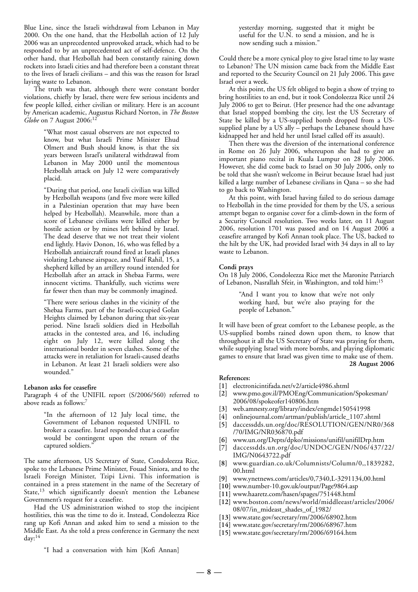Blue Line, since the Israeli withdrawal from Lebanon in May 2000. On the one hand, that the Hezbollah action of 12 July 2006 was an unprecedented unprovoked attack, which had to be responded to by an unprecedented act of self-defence. On the other hand, that Hezbollah had been constantly raining down rockets into Israeli cities and had therefore been a constant threat to the lives of Israeli civilians – and this was the reason for Israel laying waste to Lebanon.

The truth was that, although there were constant border violations, chiefly by Israel, there were few serious incidents and few people killed, either civilian or military. Here is an account by American academic, Augustus Richard Norton, in *The Boston Globe* on 7 August 2006:<sup>12</sup>

> "What most casual observers are not expected to know, but what Israeli Prime Minister Ehud Olmert and Bush should know, is that the six years between Israel's unilateral withdrawal from Lebanon in May 2000 until the momentous Hezbollah attack on July 12 were comparatively placid.

> "During that period, one Israeli civilian was killed by Hezbollah weapons (and five more were killed in a Palestinian operation that may have been helped by Hezbollah). Meanwhile, more than a score of Lebanese civilians were killed either by hostile action or by mines left behind by Israel. The dead deserve that we not treat their violent end lightly. Haviv Donon, 16, who was felled by a Hezbollah antiaircraft round fired at Israeli planes violating Lebanese airspace, and Yusif Rahil, 15, a shepherd killed by an artillery round intended for Hezbollah after an attack in Shebaa Farms, were innocent victims. Thankfully, such victims were far fewer then than may be commonly imagined.

> "There were serious clashes in the vicinity of the Shebaa Farms, part of the Israeli-occupied Golan Heights claimed by Lebanon during that six-year period. Nine Israeli soldiers died in Hezbollah attacks in the contested area, and 16, including eight on July 12, were killed along the international border in seven clashes. Some of the attacks were in retaliation for Israeli-caused deaths in Lebanon. At least 21 Israeli soldiers were also wounded."

#### **Lebanon asks for ceasefire**

Paragraph 4 of the UNIFIL report (S/2006/560) referred to above reads as follows:7

> "In the afternoon of 12 July local time, the Government of Lebanon requested UNIFIL to broker a ceasefire. Israel responded that a ceasefire would be contingent upon the return of the captured soldiers."

The same afternoon, US Secretary of State, Condoleezza Rice, spoke to the Lebanese Prime Minister, Fouad Siniora, and to the Israeli Foreign Minister, Tzipi Livni. This information is contained in a press statement in the name of the Secretary of State,<sup>13</sup> which significantly doesn't mention the Lebanese Government's request for a ceasefire.

Had the US administration wished to stop the incipient hostilities, this was the time to do it. Instead, Condoleezza Rice rang up Kofi Annan and asked him to send a mission to the Middle East. As she told a press conference in Germany the next day: $14$ 

yesterday morning, suggested that it might be useful for the U.N. to send a mission, and he is now sending such a mission."

Could there be a more cynical ploy to give Israel time to lay waste to Lebanon? The UN mission came back from the Middle East and reported to the Security Council on 21 July 2006. This gave Israel over a week.

At this point, the US felt obliged to begin a show of trying to bring hostilities to an end, but it took Condoleezza Rice until 24 July 2006 to get to Beirut. (Her presence had the one advantage that Israel stopped bombing the city, lest the US Secretary of State be killed by a US-supplied bomb dropped from a USsupplied plane by a US ally – perhaps the Lebanese should have kidnapped her and held her until Israel called off its assault).

Then there was the diversion of the international conference in Rome on 26 July 2006, whereupon she had to give an important piano recital in Kuala Lumpur on 28 July 2006. However, she did come back to Israel on 30 July 2006, only to be told that she wasn't welcome in Beirut because Israel had just killed a large number of Lebanese civilians in Qana – so she had to go back to Washington.

At this point, with Israel having failed to do serious damage to Hezbollah in the time provided for them by the US, a serious attempt began to organise cover for a climb-down in the form of a Security Council resolution. Two weeks later, on 11 August 2006, resolution 1701 was passed and on 14 August 2006 a ceasefire arranged by Kofi Annan took place. The US, backed to the hilt by the UK, had provided Israel with 34 days in all to lay waste to Lebanon.

#### **Condi prays**

On 18 July 2006, Condoleezza Rice met the Maronite Patriarch of Lebanon, Nasrallah Sfeir, in Washington, and told him:15

> "And I want you to know that we're not only working hard, but we're also praying for the people of Lebanon."

It will have been of great comfort to the Lebanese people, as the US-supplied bombs rained down upon them, to know that throughout it all the US Secretary of State was praying for them, while supplying Israel with more bombs, and playing diplomatic games to ensure that Israel was given time to make use of them. **28 August 2006**

- **[1]** electronicintifada.net/v2/article4986.shtml
- **[2]** www.pmo.gov.il/PMOEng/Communication/Spokesman/ 2006/08/spokeofer140806.htm
- **[3]** web.amnesty.org/library/index/engmde150541998
- **[4]** onlinejournal.com/artman/publish/article\_1107.shtml
- **[5]** daccessdds.un.org/doc/RESOLUTION/GEN/NR0/368 /70/IMG/NR036870.pdf
- **[6]** www.un.org/Depts/dpko/missions/unifil/unifilDrp.htm
- **[7]** daccessdds.un.org/doc/UNDOC/GEN/N06/437/22/ IMG/N0643722.pdf
- **[8]** www.guardian.co.uk/Columnists/Column/0,,1839282, 00.html
- **[9]** www.ynetnews.com/articles/0,7340,L-3291134,00.html
- **[10]** www.number-10.gov.uk/output/Page9864.asp
- **[11]** www.haaretz.com/hasen/spages/751448.html
- **[12]** www.boston.com/news/world/middleeast/articles/2006/ 08/07/in\_mideast\_shades\_of\_1982/
- **[13]** www.state.gov/secretary/rm/2006/68902.htm
- **[14]** www.state.gov/secretary/rm/2006/68967.htm
- **[15]** www.state.gov/secretary/rm/2006/69164.htm
- "I had a conversation with him [Kofi Annan]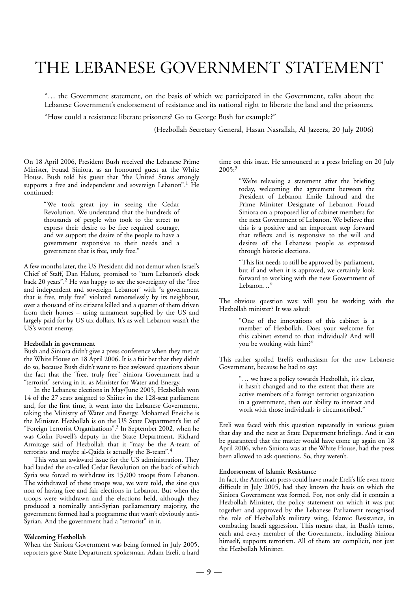# THE LEBANESE GOVERNMENT STATEMENT

"… the Government statement, on the basis of which we participated in the Government, talks about the Lebanese Government's endorsement of resistance and its national right to liberate the land and the prisoners.

"How could a resistance liberate prisoners? Go to George Bush for example?"

(Hezbollah Secretary General, Hasan Nasrallah, Al Jazeera, 20 July 2006)

On 18 April 2006, President Bush received the Lebanese Prime Minister, Fouad Siniora, as an honoured guest at the White House. Bush told his guest that "the United States strongly supports a free and independent and sovereign Lebanon".<sup>1</sup> He continued:

> "We took great joy in seeing the Cedar Revolution. We understand that the hundreds of thousands of people who took to the street to express their desire to be free required courage, and we support the desire of the people to have a government responsive to their needs and a government that is free, truly free."

A few months later, the US President did not demur when Israel's Chief of Staff, Dan Halutz, promised to "turn Lebanon's clock back 20 years".2 He was happy to see the sovereignty of the "free and independent and sovereign Lebanon" with "a government that is free, truly free" violated remorselessly by its neighbour, over a thousand of its citizens killed and a quarter of them driven from their homes – using armament supplied by the US and largely paid for by US tax dollars. It's as well Lebanon wasn't the US's worst enemy.

#### **Hezbollah in government**

Bush and Siniora didn't give a press conference when they met at the White House on 18 April 2006. It is a fair bet that they didn't do so, because Bush didn't want to face awkward questions about the fact that the "free, truly free" Siniora Government had a "terrorist" serving in it, as Minister for Water and Energy.

In the Lebanese elections in May/June 2005, Hezbollah won 14 of the 27 seats assigned to Shiites in the 128-seat parliament and, for the first time, it went into the Lebanese Government, taking the Ministry of Water and Energy. Mohamed Fneiche is the Minister. Hezbollah is on the US State Department's list of "Foreign Terrorist Organizations".3 In September 2002, when he was Colin Powell's deputy in the State Department, Richard Armitage said of Hezbollah that it "may be the A-team of terrorists and maybe al-Qaida is actually the B-team".4

This was an awkward issue for the US administration. They had lauded the so-called Cedar Revolution on the back of which Syria was forced to withdraw its 15,000 troops from Lebanon. The withdrawal of these troops was, we were told, the sine qua non of having free and fair elections in Lebanon. But when the troops were withdrawn and the elections held, although they produced a nominally anti-Syrian parliamentary majority, the government formed had a programme that wasn't obviously anti-Syrian. And the government had a "terrorist" in it.

#### **Welcoming Hezbollah**

When the Siniora Government was being formed in July 2005, reporters gave State Department spokesman, Adam Ereli, a hard time on this issue. He announced at a press briefing on 20 July  $2005:5$ 

> "We're releasing a statement after the briefing today, welcoming the agreement between the President of Lebanon Emile Lahoud and the Prime Minister Designate of Lebanon Fouad Siniora on a proposed list of cabinet members for the next Government of Lebanon. We believe that this is a positive and an important step forward that reflects and is responsive to the will and desires of the Lebanese people as expressed through historic elections.

> "This list needs to still be approved by parliament, but if and when it is approved, we certainly look forward to working with the new Government of Lebanon…"

The obvious question was: will you be working with the Hezbollah minister? It was asked:

> "One of the innovations of this cabinet is a member of Hezbollah. Does your welcome for this cabinet extend to that individual? And will you be working with him?"

This rather spoiled Ereli's enthusiasm for the new Lebanese Government, because he had to say:

> "… we have a policy towards Hezbollah, it's clear, it hasn't changed and to the extent that there are active members of a foreign terrorist organization in a government, then our ability to interact and work with those individuals is circumscribed."

Ereli was faced with this question repeatedly in various guises that day and the next at State Department briefings. And it can be guaranteed that the matter would have come up again on 18 April 2006, when Siniora was at the White House, had the press been allowed to ask questions. So, they weren't.

#### **Endorsement of Islamic Resistance**

In fact, the American press could have made Ereli's life even more difficult in July 2005, had they known the basis on which the Siniora Government was formed. For, not only did it contain a Hezbollah Minister, the policy statement on which it was put together and approved by the Lebanese Parliament recognised the role of Hezbollah's military wing, Islamic Resistance, in combating Israeli aggression. This means that, in Bush's terms, each and every member of the Government, including Siniora himself, supports terrorism. All of them are complicit, not just the Hezbollah Minister.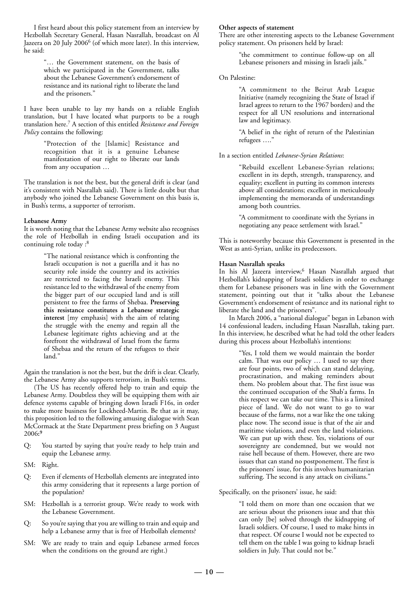I first heard about this policy statement from an interview by Hezbollah Secretary General, Hasan Nasrallah, broadcast on Al Jazeera on 20 July 2006<sup>6</sup> (of which more later). In this interview, he said:

> "… the Government statement, on the basis of which we participated in the Government, talks about the Lebanese Government's endorsement of resistance and its national right to liberate the land and the prisoners."

I have been unable to lay my hands on a reliable English translation, but I have located what purports to be a rough translation here.7 A section of this entitled *Resistance and Foreign Policy* contains the following:

> "Protection of the [Islamic] Resistance and recognition that it is a genuine Lebanese manifestation of our right to liberate our lands from any occupation …

The translation is not the best, but the general drift is clear (and it's consistent with Nasrallah said). There is little doubt but that anybody who joined the Lebanese Government on this basis is, in Bush's terms, a supporter of terrorism.

#### **Lebanese Army**

It is worth noting that the Lebanese Army website also recognises the role of Hezbollah in ending Israeli occupation and its continuing role today :<sup>8</sup>

> "The national resistance which is confronting the Israeli occupation is not a guerilla and it has no security role inside the country and its activities are restricted to facing the Israeli enemy. This resistance led to the withdrawal of the enemy from the bigger part of our occupied land and is still persistent to free the farms of Shebaa. **Preserving this resistance constitutes a Lebanese strategic interest** [my emphasis] with the aim of relating the struggle with the enemy and regain all the Lebanese legitimate rights achieving and at the forefront the withdrawal of Israel from the farms of Shebaa and the return of the refugees to their land."

Again the translation is not the best, but the drift is clear. Clearly, the Lebanese Army also supports terrorism, in Bush's terms.

(The US has recently offered help to train and equip the Lebanese Army. Doubtless they will be equipping them with air defence systems capable of bringing down Israeli F16s, in order to make more business for Lockheed-Martin. Be that as it may, this proposition led to the following amusing dialogue with Sean McCormack at the State Department press briefing on 3 August 2006**: 9**

- Q: You started by saying that you're ready to help train and equip the Lebanese army.
- SM: Right.
- Q: Even if elements of Hezbollah elements are integrated into this army considering that it represents a large portion of the population?
- SM: Hezbollah is a terrorist group. We're ready to work with the Lebanese Government.
- Q: So you're saying that you are willing to train and equip and help a Lebanese army that is free of Hezbollah elements?
- SM: We are ready to train and equip Lebanese armed forces when the conditions on the ground are right.)

#### **Other aspects of statement**

There are other interesting aspects to the Lebanese Government policy statement. On prisoners held by Israel:

> "the commitment to continue follow-up on all Lebanese prisoners and missing in Israeli jails."

#### On Palestine:

"A commitment to the Beirut Arab League Initiative (namely recognizing the State of Israel if Israel agrees to return to the 1967 borders) and the respect for all UN resolutions and international law and legitimacy.

"A belief in the right of return of the Palestinian refugees …."

#### In a section entitled *Lebanese-Syrian Relations*:

"Rebuild excellent Lebanese-Syrian relations; excellent in its depth, strength, transparency, and equality; excellent in putting its common interests above all considerations; excellent in meticulously implementing the memoranda of understandings among both countries.

"A commitment to coordinate with the Syrians in negotiating any peace settlement with Israel."

This is noteworthy because this Government is presented in the West as anti-Syrian, unlike its predecessors.

#### **Hasan Nasrallah speaks**

In his Al Jazeera interview,<sup>6</sup> Hasan Nasrallah argued that Hezbollah's kidnapping of Israeli soldiers in order to exchange them for Lebanese prisoners was in line with the Government statement, pointing out that it "talks about the Lebanese Government's endorsement of resistance and its national right to liberate the land and the prisoners".

In March 2006, a "national dialogue" began in Lebanon with 14 confessional leaders, including Hasan Nasrallah, taking part. In this interview, he described what he had told the other leaders during this process about Hezbollah's intentions:

> "Yes, I told them we would maintain the border calm. That was our policy … I used to say there are four points, two of which can stand delaying, procrastination, and making reminders about them. No problem about that. The first issue was the continued occupation of the Shab'a farms. In this respect we can take our time. This is a limited piece of land. We do not want to go to war because of the farms, not a war like the one taking place now. The second issue is that of the air and maritime violations, and even the land violations. We can put up with these. Yes, violations of our sovereignty are condemned, but we would not raise hell because of them. However, there are two issues that can stand no postponement. The first is the prisoners' issue, for this involves humanitarian suffering. The second is any attack on civilians."

#### Specifically, on the prisoners' issue, he said:

"I told them on more than one occasion that we are serious about the prisoners issue and that this can only [be] solved through the kidnapping of Israeli soldiers. Of course, I used to make hints in that respect. Of course I would not be expected to tell them on the table I was going to kidnap Israeli soldiers in July. That could not be."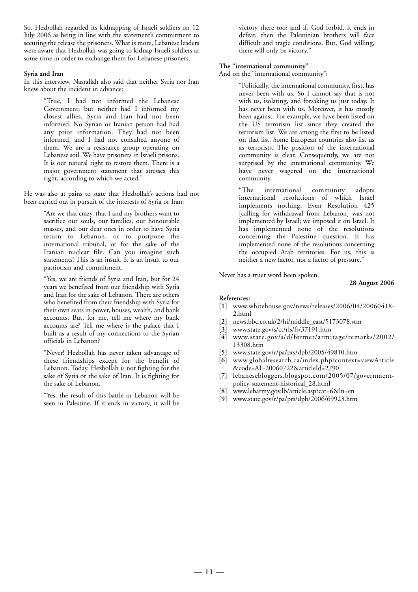So, Hezbollah regarded its kidnapping of Israeli soldiers on 12 July 2006 as being in line with the statement's commitment to securing the release the prisoners. What is more, Lebanese leaders were aware that Hezbollah was going to kidnap Israeli soldiers at some time in order to exchange them for Lebanese prisoners.

#### **Syria and Iran**

In this interview, Nasrallah also said that neither Syria nor Iran knew about the incident in advance:

> "True, I had not informed the Lebanese Government, but neither had I informed my closest allies. Syria and Iran had not been informed. No Syrian or Iranian person had had any prior information. They had not been informed, and I had not consulted anyone of them. We are a resistance group operating on Lebanese soil. We have prisoners in Israeli prisons. It is our natural right to restore them. There is a major government statement that stresses this right, according to which we acted."

He was also at pains to state that Hezbollah's actions had not been carried out in pursuit of the interests of Syria or Iran:

> "Are we that crazy, that I and my brothers want to sacrifice our souls, our families, our honourable masses, and our dear ones in order to have Syria return to Lebanon, or to postpone the international tribunal, or for the sake of the Iranian nuclear file. Can you imagine such statements! This is an insult. It is an insult to our patriotism and commitment.

> "Yes, we are friends of Syria and Iran, but for 24 years we benefited from our friendship with Syria and Iran for the sake of Lebanon. There are others who benefited from their friendship with Syria for their own seats in power, houses, wealth, and bank accounts. But, for me, tell me where my bank accounts are? Tell me where is the palace that I built as a result of my connections to the Syrian officials in Lebanon?

> "Never! Hezbollah has never taken advantage of these friendships except for the benefit of Lebanon. Today, Hezbollah is not fighting for the sake of Syria or the sake of Iran. It is fighting for the sake of Lebanon.

> "Yes, the result of this battle in Lebanon will be seen in Palestine. If it ends in victory, it will be

victory there too; and if, God forbid, it ends in defeat, then the Palestinian brothers will face difficult and tragic conditions. But, God willing, there will only be victory."

#### **The "international community"**

And on the "international community":

"Politically, the international community, first, has never been with us. So I cannot say that is not with us, isolating, and forsaking us just today. It has never been with us. Moreover, it has mostly been against. For example, we have been listed on the US terrorism list since they created the terrorism list. We are among the first to be listed on that list. Some European countries also list us as terrorists. The position of the international community is clear. Consequently, we are not surprised by the international community. We have never wagered on the international community.

"The international community adopts international resolutions of which Israel implements nothing. Even Resolution 425 [calling for withdrawal from Lebanon] was not implemented by Israel; we imposed it on Israel. It has implemented none of the resolutions concerning the Palestine question. It has implemented none of the resolutions concerning the occupied Arab territories. For us, this is neither a new factor, nor a factor of pressure."

Never has a truer word been spoken.

#### **28 August 2006**

- **[1]** www.whitehouse.gov/news/releases/2006/04/20060418- 2.html
- **[2]** news.bbc.co.uk/2/hi/middle\_east/5173078.stm
- **[3]** www.state.gov/s/ct/rls/fs/37191.htm
- **[4]** www.state.gov/s/d/former/armitage/remarks/2002/ 13308.htm
- **[5]** www.state.gov/r/pa/prs/dpb/2005/49810.htm
- **[6]** www.globalresearch.ca/index.php?context=viewArticle &code=AL-20060722&articleId=2790
- **[7]** lebanesebloggers.blogspot.com/2005/07/governmentpolicy-statement-historical\_28.html
- **[8]** www.lebarmy.gov.lb/article.asp?cat=6&ln=en
- **[9]** www.state.gov/r/pa/prs/dpb/2006/69923.htm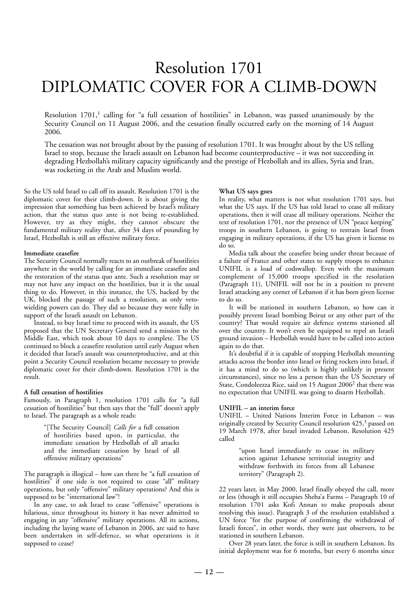# Resolution 1701 DIPLOMATIC COVER FOR A CLIMB-DOWN

Resolution  $1701$ ,<sup>1</sup> calling for "a full cessation of hostilities" in Lebanon, was passed unanimously by the Security Council on 11 August 2006, and the cessation finally occurred early on the morning of 14 August 2006.

The cessation was not brought about by the passing of resolution 1701. It was brought about by the US telling Israel to stop, because the Israeli assault on Lebanon had become counterproductive – it was not succeeding in degrading Hezbollah's military capacity significantly and the prestige of Hezbollah and its allies, Syria and Iran, was rocketing in the Arab and Muslim world.

So the US told Israel to call off its assault. Resolution 1701 is the diplomatic cover for their climb-down. It is about giving the impression that something has been achieved by Israel's military action, that the status quo ante is not being re-established. However, try as they might, they cannot obscure the fundamental military reality that, after 34 days of pounding by Israel, Hezbollah is still an effective military force.

#### **Immediate ceasefire**

The Security Council normally reacts to an outbreak of hostilities anywhere in the world by calling for an immediate ceasefire and the restoration of the status quo ante. Such a resolution may or may not have any impact on the hostilities, but it is the usual thing to do. However, in this instance, the US, backed by the UK, blocked the passage of such a resolution, as only vetowielding powers can do. They did so because they were fully in support of the Israeli assault on Lebanon.

Instead, to buy Israel time to proceed with its assault, the US proposed that the UN Secretary General send a mission to the Middle East, which took about 10 days to complete. The US continued to block a ceasefire resolution until early August when it decided that Israel's assault was counterproductive, and at this point a Security Council resolution became necessary to provide diplomatic cover for their climb-down. Resolution 1701 is the result.

#### **A full cessation of hostilities**

Famously, in Paragraph 1, resolution 1701 calls for "a full cessation of hostilities" but then says that the "full" doesn't apply to Israel. The paragraph as a whole reads:

> "[The Security Council] *Calls for* a full cessation of hostilities based upon, in particular, the immediate cessation by Hezbollah of all attacks and the immediate cessation by Israel of all offensive military operations"

The paragraph is illogical – how can there be "a full cessation of hostilities" if one side is not required to cease "all" military operations, but only "offensive" military operations? And this is supposed to be "international law"!

In any case, to ask Israel to cease "offensive" operations is hilarious, since throughout its history it has never admitted to engaging in any "offensive" military operations. All its actions, including the laying waste of Lebanon in 2006, are said to have been undertaken in self-defence, so what operations is it supposed to cease?

#### **What US says goes**

In reality, what matters is not what resolution 1701 says, but what the US says. If the US has told Israel to cease all military operations, then it will cease all military operations. Neither the text of resolution 1701, nor the presence of UN "peace keeping" troops in southern Lebanon, is going to restrain Israel from engaging in military operations, if the US has given it license to do so.

Media talk about the ceasefire being under threat because of a failure of France and other states to supply troops to enhance UNIFIL is a load of codswallop. Even with the maximum complement of 15,000 troops specified in the resolution (Paragraph 11), UNIFIL will not be in a position to prevent Israel attacking any corner of Lebanon if it has been given license to do so.

It will be stationed in southern Lebanon, so how can it possibly prevent Israel bombing Beirut or any other part of the country? That would require air defence systems stationed all over the country. It won't even be equipped to repel an Israeli ground invasion – Hezbollah would have to be called into action again to do that.

It's doubtful if it is capable of stopping Hezbollah mounting attacks across the border into Israel or firing rockets into Israel, if it has a mind to do so (which is highly unlikely in present circumstances), since no less a person than the US Secretary of State, Condoleezza Rice, said on 15 August 2006<sup>2</sup> that there was no expectation that UNIFIL was going to disarm Hezbollah.

#### **UNIFIL – an interim force**

UNIFIL – United Nations Interim Force in Lebanon – was originally created by Security Council resolution 425,<sup>3</sup> passed on 19 March 1978, after Israel invaded Lebanon. Resolution 425 called

> "upon Israel immediately to cease its military action against Lebanese territorial integrity and withdraw forthwith its forces from all Lebanese territory" (Paragraph 2).

22 years later, in May 2000, Israel finally obeyed the call, more or less (though it still occupies Sheba'a Farms – Paragraph 10 of resolution 1701 asks Kofi Annan to make proposals about resolving this issue). Paragraph 3 of the resolution established a UN force "for the purpose of confirming the withdrawal of Israeli forces", in other words, they were just observers, to be stationed in southern Lebanon.

Over 28 years later, the force is still in southern Lebanon. Its initial deployment was for 6 months, but every 6 months since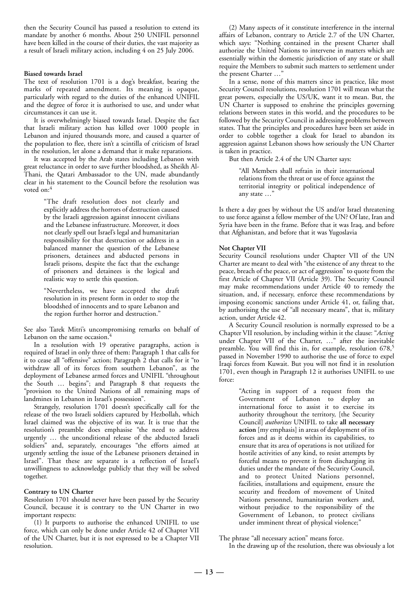then the Security Council has passed a resolution to extend its mandate by another 6 months. About 250 UNIFIL personnel have been killed in the course of their duties, the vast majority as a result of Israeli military action, including 4 on 25 July 2006.

#### **Biased towards Israel**

The text of resolution 1701 is a dog's breakfast, bearing the marks of repeated amendment. Its meaning is opaque, particularly with regard to the duties of the enhanced UNIFIL and the degree of force it is authorised to use, and under what circumstances it can use it.

It is overwhelmingly biased towards Israel. Despite the fact that Israeli military action has killed over 1000 people in Lebanon and injured thousands more, and caused a quarter of the population to flee, there isn't a scintilla of criticism of Israel in the resolution, let alone a demand that it make reparations.

It was accepted by the Arab states including Lebanon with great reluctance in order to save further bloodshed, as Sheikh Al-Thani, the Qatari Ambassador to the UN, made abundantly clear in his statement to the Council before the resolution was voted on:4

> "The draft resolution does not clearly and explicitly address the horrors of destruction caused by the Israeli aggression against innocent civilians and the Lebanese infrastructure. Moreover, it does not clearly spell out Israel's legal and humanitarian responsibility for that destruction or address in a balanced manner the question of the Lebanese prisoners, detainees and abducted persons in Israeli prisons, despite the fact that the exchange of prisoners and detainees is the logical and realistic way to settle this question.

> "Nevertheless, we have accepted the draft resolution in its present form in order to stop the bloodshed of innocents and to spare Lebanon and the region further horror and destruction."

See also Tarek Mitri's uncompromising remarks on behalf of Lebanon on the same occasion.<sup>4</sup>

In a resolution with 19 operative paragraphs, action is required of Israel in only three of them: Paragraph 1 that calls for it to cease all "offensive" action; Paragraph 2 that calls for it "to withdraw all of its forces from southern Lebanon", as the deployment of Lebanese armed forces and UNIFIL "throughout the South … begins"; and Paragraph 8 that requests the "provision to the United Nations of all remaining maps of landmines in Lebanon in Israel's possession".

Strangely, resolution 1701 doesn't specifically call for the release of the two Israeli soldiers captured by Hezbollah, which Israel claimed was the objective of its war. It is true that the resolution's preamble does emphasise "the need to address urgently … the unconditional release of the abducted Israeli soldiers" and, separately, encourages "the efforts aimed at urgently settling the issue of the Lebanese prisoners detained in Israel". That these are separate is a reflection of Israel's unwillingness to acknowledge publicly that they will be solved together.

#### **Contrary to UN Charter**

Resolution 1701 should never have been passed by the Security Council, because it is contrary to the UN Charter in two important respects:

(1) It purports to authorise the enhanced UNIFIL to use force, which can only be done under Article 42 of Chapter VII of the UN Charter, but it is not expressed to be a Chapter VII resolution.

(2) Many aspects of it constitute interference in the internal affairs of Lebanon, contrary to Article 2.7 of the UN Charter, which says: "Nothing contained in the present Charter shall authorize the United Nations to intervene in matters which are essentially within the domestic jurisdiction of any state or shall require the Members to submit such matters to settlement under the present Charter ...'

In a sense, none of this matters since in practice, like most Security Council resolutions, resolution 1701 will mean what the great powers, especially the US/UK, want it to mean. But, the UN Charter is supposed to enshrine the principles governing relations between states in this world, and the procedures to be followed by the Security Council in addressing problems between states. That the principles and procedures have been set aside in order to cobble together a cloak for Israel to abandon its aggression against Lebanon shows how seriously the UN Charter is taken in practice.

But then Article 2.4 of the UN Charter says:

"All Members shall refrain in their international relations from the threat or use of force against the territorial integrity or political independence of any state …"

Is there a day goes by without the US and/or Israel threatening to use force against a fellow member of the UN? Of late, Iran and Syria have been in the frame. Before that it was Iraq, and before that Afghanistan, and before that it was Yugoslavia

#### **Not Chapter VII**

Security Council resolutions under Chapter VII of the UN Charter are meant to deal with "the existence of any threat to the peace, breach of the peace, or act of aggression" to quote from the first Article of Chapter VII (Article 39). The Security Council may make recommendations under Article 40 to remedy the situation, and, if necessary, enforce these recommendations by imposing economic sanctions under Article 41, or, failing that, by authorising the use of "all necessary means", that is, military action, under Article 42.

A Security Council resolution is normally expressed to be a Chapter VII resolution, by including within it the clause: "*Acting* under Chapter VII of the Charter, …" after the inevitable preamble. You will find this in, for example, resolution 678,<sup>5</sup> passed in November 1990 to authorise the use of force to expel Iraqi forces from Kuwait. But you will not find it in resolution 1701, even though in Paragraph 12 it authorises UNIFIL to use force:

> "Acting in support of a request from the Government of Lebanon to deploy an international force to assist it to exercise its authority throughout the territory, [the Security Council] *authorizes* UNIFIL to take **all necessary action** [my emphasis] in areas of deployment of its forces and as it deems within its capabilities, to ensure that its area of operations is not utilized for hostile activities of any kind, to resist attempts by forceful means to prevent it from discharging its duties under the mandate of the Security Council, and to protect United Nations personnel, facilities, installations and equipment, ensure the security and freedom of movement of United Nations personnel, humanitarian workers and, without prejudice to the responsibility of the Government of Lebanon, to protect civilians under imminent threat of physical violence;"

The phrase "all necessary action" means force.

In the drawing up of the resolution, there was obviously a lot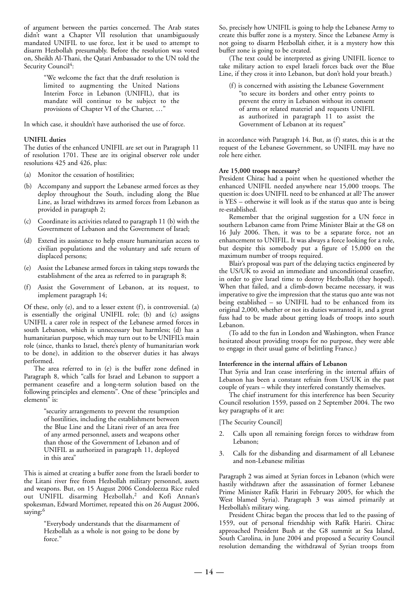of argument between the parties concerned. The Arab states didn't want a Chapter VII resolution that unambiguously mandated UNIFIL to use force, lest it be used to attempt to disarm Hezbollah presumably. Before the resolution was voted on, Sheikh Al-Thani, the Qatari Ambassador to the UN told the Security Council<sup>4</sup>:

> "We welcome the fact that the draft resolution is limited to augmenting the United Nations Interim Force in Lebanon (UNIFIL), that its mandate will continue to be subject to the provisions of Chapter VI of the Charter, …"

In which case, it shouldn't have authorised the use of force.

#### **UNIFIL duties**

The duties of the enhanced UNIFIL are set out in Paragraph 11 of resolution 1701. These are its original observer role under resolutions 425 and 426, plus:

- (a) Monitor the cessation of hostilities;
- (b) Accompany and support the Lebanese armed forces as they deploy throughout the South, including along the Blue Line, as Israel withdraws its armed forces from Lebanon as provided in paragraph 2;
- (c) Coordinate its activities related to paragraph 11 (b) with the Government of Lebanon and the Government of Israel;
- (d) Extend its assistance to help ensure humanitarian access to civilian populations and the voluntary and safe return of displaced persons;
- (e) Assist the Lebanese armed forces in taking steps towards the establishment of the area as referred to in paragraph 8;
- (f) Assist the Government of Lebanon, at its request, to implement paragraph 14;

Of these, only (e), and to a lesser extent (f), is controversial. (a) is essentially the original UNIFIL role; (b) and (c) assigns UNIFIL a carer role in respect of the Lebanese armed forces in south Lebanon, which is unnecessary but harmless; (d) has a humanitarian purpose, which may turn out to be UNIFIL's main role (since, thanks to Israel, there's plenty of humanitarian work to be done), in addition to the observer duties it has always performed.

The area referred to in (e) is the buffer zone defined in Paragraph 8, which "calls for Israel and Lebanon to support a permanent ceasefire and a long-term solution based on the following principles and elements". One of these "principles and elements" is:

> "security arrangements to prevent the resumption of hostilities, including the establishment between the Blue Line and the Litani river of an area free of any armed personnel, assets and weapons other than those of the Government of Lebanon and of UNIFIL as authorized in paragraph 11, deployed in this area"

This is aimed at creating a buffer zone from the Israeli border to the Litani river free from Hezbollah military personnel, assets and weapons. But, on 15 August 2006 Condoleezza Rice ruled out UNIFIL disarming Hezbollah,<sup>2</sup> and Kofi Annan's spokesman, Edward Mortimer, repeated this on 26 August 2006, saying:<sup>6</sup>

> "Everybody understands that the disarmament of Hezbollah as a whole is not going to be done by force."

So, precisely how UNIFIL is going to help the Lebanese Army to create this buffer zone is a mystery. Since the Lebanese Army is not going to disarm Hezbollah either, it is a mystery how this buffer zone is going to be created.

(The text could be interpreted as giving UNIFIL licence to take military action to expel Israeli forces back over the Blue Line, if they cross it into Lebanon, but don't hold your breath.)

(f) is concerned with assisting the Lebanese Government "to secure its borders and other entry points to prevent the entry in Lebanon without its consent of arms or related materiel and requests UNIFIL as authorized in paragraph 11 to assist the Government of Lebanon at its request"

in accordance with Paragraph 14. But, as (f) states, this is at the request of the Lebanese Government, so UNIFIL may have no role here either.

#### **Are 15,000 troops necessary?**

President Chirac had a point when he questioned whether the enhanced UNIFIL needed anywhere near 15,000 troops. The question is: does UNIFIL need to be enhanced at all? The answer is YES – otherwise it will look as if the status quo ante is being re-established.

Remember that the original suggestion for a UN force in southern Lebanon came from Prime Minister Blair at the G8 on 16 July 2006. Then, it was to be a separate force, not an enhancement to UNIFIL. It was always a force looking for a role, but despite this somebody put a figure of 15,000 on the maximum number of troops required.

Blair's proposal was part of the delaying tactics engineered by the US/UK to avoid an immediate and unconditional ceasefire, in order to give Israel time to destroy Hezbollah (they hoped). When that failed, and a climb-down became necessary, it was imperative to give the impression that the status quo ante was not being established – so UNIFIL had to be enhanced from its original 2,000, whether or not its duties warranted it, and a great fuss had to be made about getting loads of troops into south Lebanon.

(To add to the fun in London and Washington, when France hesitated about providing troops for no purpose, they were able to engage in their usual game of belittling France.)

#### **Interference in the internal affairs of Lebanon**

That Syria and Iran cease interfering in the internal affairs of Lebanon has been a constant refrain from US/UK in the past couple of years – while they interfered constantly themselves.

The chief instrument for this interference has been Security Council resolution 1559, passed on 2 September 2004. The two key paragraphs of it are:

[The Security Council]

- Calls upon all remaining foreign forces to withdraw from Lebanon;
- 3. Calls for the disbanding and disarmament of all Lebanese and non-Lebanese militias

Paragraph 2 was aimed at Syrian forces in Lebanon (which were hastily withdrawn after the assassination of former Lebanese Prime Minister Rafik Hariri in February 2005, for which the West blamed Syria). Paragraph 3 was aimed primarily at Hezbollah's military wing.

President Chirac began the process that led to the passing of 1559, out of personal friendship with Rafik Hariri. Chirac approached President Bush at the G8 summit at Sea Island, South Carolina, in June 2004 and proposed a Security Council resolution demanding the withdrawal of Syrian troops from

**— 14 —**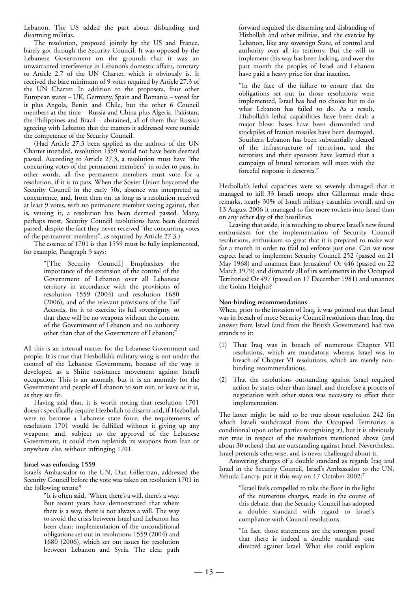Lebanon. The US added the part about disbanding and disarming militias.

The resolution, proposed jointly by the US and France, barely got through the Security Council. It was opposed by the Lebanese Government on the grounds that it was an unwarranted interference in Lebanon's domestic affairs, contrary to Article 2.7 of the UN Charter, which it obviously is. It received the bare minimum of 9 votes required by Article 27.3 of the UN Charter. In addition to the proposers, four other European states – UK, Germany, Spain and Romania – voted for it plus Angola, Benin and Chile, but the other 6 Council members at the time – Russia and China plus Algeria, Pakistan, the Philippines and Brazil – abstained, all of them (bar Russia) agreeing with Lebanon that the matters it addressed were outside the competence of the Security Council.

(Had Article 27.3 been applied as the authors of the UN Charter intended, resolution 1559 would not have been deemed passed. According to Article 27.3, a resolution must have "the concurring votes of the permanent members" in order to pass, in other words, all five permanent members must vote for a resolution, if it is to pass. When the Soviet Union boycotted the Security Council in the early 50s, absence was interpreted as concurrence, and, from then on, as long as a resolution received at least 9 votes, with no permanent member voting against, that is, vetoing it, a resolution has been deemed passed. Many, perhaps most, Security Council resolutions have been deemed passed, despite the fact they never received "the concurring votes of the permanent members", as required by Article 27.3.)

The essence of 1701 is that 1559 must be fully implemented, for example, Paragraph 3 says:

> "[The Security Council] Emphasizes the importance of the extension of the control of the Government of Lebanon over all Lebanese territory in accordance with the provisions of resolution 1559 (2004) and resolution 1680 (2006), and of the relevant provisions of the Taif Accords, for it to exercise its full sovereignty, so that there will be no weapons without the consent of the Government of Lebanon and no authority other than that of the Government of Lebanon;"

All this is an internal matter for the Lebanese Government and people. It is true that Hezbollah's military wing is not under the control of the Lebanese Government, because of the way it developed as a Shiite resistance movement against Israeli occupation. This is an anomaly, but it is an anomaly for the Government and people of Lebanon to sort out, or leave as it is, as they see fit.

Having said that, it is worth noting that resolution 1701 doesn't specifically require Hezbollah to disarm and, if Hezbollah were to become a Lebanese state force, the requirements of resolution 1701 would be fulfilled without it giving up any weapons, and, subject to the approval of the Lebanese Government, it could then replenish its weapons from Iran or anywhere else, without infringing 1701.

#### **Israel was enforcing 1559**

Israel's Ambassador to the UN, Dan Gillerman, addressed the Security Council before the vote was taken on resolution 1701 in the following terms:<sup>4</sup>

"It is often said, 'Where there's a will, there's a way. But recent years have demonstrated that where there is a way, there is not always a will. The way to avoid the crisis between Israel and Lebanon has been clear: implementation of the unconditional obligations set out in resolutions 1559 (2004) and 1680 (2006), which set out issues for resolution between Lebanon and Syria. The clear path

forward required the disarming and disbanding of Hizbollah and other militias, and the exercise by Lebanon, like any sovereign State, of control and authority over all its territory. But the will to implement this way has been lacking, and over the past month the peoples of Israel and Lebanon have paid a heavy price for that inaction.

"In the face of the failure to ensure that the obligations set out in those resolutions were implemented, Israel has had no choice but to do what Lebanon has failed to do. As a result, Hizbollah's lethal capabilities have been dealt a major blow: bases have been dismantled and stockpiles of Iranian missiles have been destroyed. Southern Lebanon has been substantially cleared of the infrastructure of terrorism, and the terrorists and their sponsors have learned that a campaign of brutal terrorism will meet with the forceful response it deserves."

Hezbollah's lethal capacities were so severely damaged that it managed to kill 33 Israeli troops after Gillerman made these remarks, nearly 30% of Israeli military casualties overall, and on 13 August 2006 it managed to fire more rockets into Israel than on any other day of the hostilities.

Leaving that aside, it is touching to observe Israel's new found enthusiasm for the implementation of Security Council resolutions, enthusiasm so great that it is prepared to make war for a month in order to (fail to) enforce just one. Can we now expect Israel to implement Security Council 252 (passed on 21 May 1968) and unannex East Jerusalem? Or 446 (passed on 22 March 1979) and dismantle all of its settlements in the Occupied Territories? Or 497 (passed on 17 December 1981) and unannex the Golan Heights?

#### **Non-binding recommendations**

When, prior to the invasion of Iraq, it was pointed out that Israel was in breach of more Security Council resolutions than Iraq, the answer from Israel (and from the British Government) had two strands to it:

- (1) That Iraq was in breach of numerous Chapter VII resolutions, which are mandatory, whereas Israel was in breach of Chapter VI resolutions, which are merely nonbinding recommendations.
- (2) That the resolutions outstanding against Israel required action by states other than Israel, and therefore a process of negotiation with other states was necessary to effect their implementation.

The latter might be said to be true about resolution 242 (in which Israeli withdrawal from the Occupied Territories is conditional upon other parties recognising it), but it is obviously not true in respect of the resolutions mentioned above (and about 30 others) that are outstanding against Israel. Nevertheless, Israel pretends otherwise, and is never challenged about it.

Answering charges of a double standard as regards Iraq and Israel in the Security Council, Israel's Ambassador to the UN, Yehuda Lancry, put it this way on 17 October 2002:<sup>7</sup>

> "Israel feels compelled to take the floor in the light of the numerous charges, made in the course of this debate, that the Security Council has adopted a double standard with regard to Israel's compliance with Council resolutions.

> "In fact, those statements are the strongest proof that there is indeed a double standard: one directed against Israel. What else could explain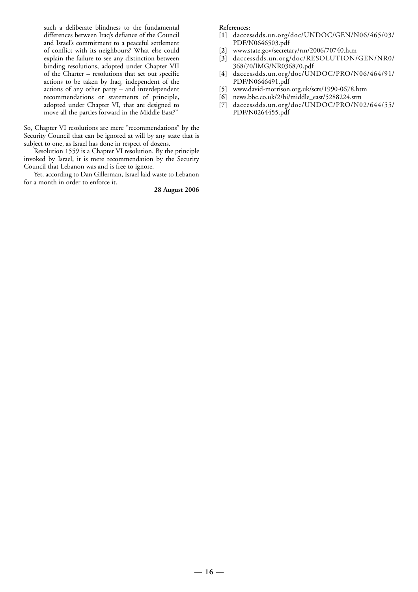such a deliberate blindness to the fundamental differences between Iraq's defiance of the Council and Israel's commitment to a peaceful settlement of conflict with its neighbours? What else could explain the failure to see any distinction between binding resolutions, adopted under Chapter VII of the Charter – resolutions that set out specific actions to be taken by Iraq, independent of the actions of any other party – and interdependent recommendations or statements of principle, adopted under Chapter VI, that are designed to move all the parties forward in the Middle East?"

So, Chapter VI resolutions are mere "recommendations" by the Security Council that can be ignored at will by any state that is subject to one, as Israel has done in respect of dozens.

Resolution 1559 is a Chapter VI resolution. By the principle invoked by Israel, it is mere recommendation by the Security Council that Lebanon was and is free to ignore.

Yet, according to Dan Gillerman, Israel laid waste to Lebanon for a month in order to enforce it.

**28 August 2006**

- **[1]** daccessdds.un.org/doc/UNDOC/GEN/N06/465/03/ PDF/N0646503.pdf
- **[2]** www.state.gov/secretary/rm/2006/70740.htm
- **[3]** daccessdds.un.org/doc/RESOLUTION/GEN/NR0/ 368/70/IMG/NR036870.pdf
- **[4]** daccessdds.un.org/doc/UNDOC/PRO/N06/464/91/ PDF/N0646491.pdf
- **[5]** www.david-morrison.org.uk/scrs/1990-0678.htm
- **[6]** news.bbc.co.uk/2/hi/middle\_east/5288224.stm
- **[7]** daccessdds.un.org/doc/UNDOC/PRO/N02/644/55/ PDF/N0264455.pdf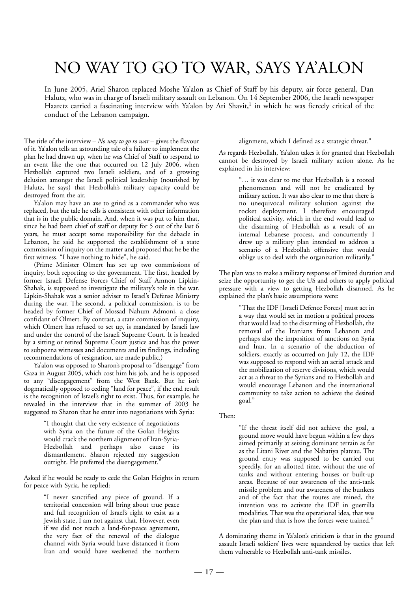# NO WAY TO GO TO WAR, SAYS YA'ALON

In June 2005, Ariel Sharon replaced Moshe Ya'alon as Chief of Staff by his deputy, air force general, Dan Halutz, who was in charge of Israeli military assault on Lebanon. On 14 September 2006, the Israeli newspaper Haaretz carried a fascinating interview with Ya'alon by Ari Shavit,<sup>1</sup> in which he was fiercely critical of the conduct of the Lebanon campaign.

The title of the interview – *No way to go to war* – gives the flavour of it. Ya'alon tells an astounding tale of a failure to implement the plan he had drawn up, when he was Chief of Staff to respond to an event like the one that occurred on 12 July 2006, when Hezbollah captured two Israeli soldiers, and of a growing delusion amongst the Israeli political leadership (nourished by Halutz, he says) that Hezbollah's military capacity could be destroyed from the air.

Ya'alon may have an axe to grind as a commander who was replaced, but the tale he tells is consistent with other information that is in the public domain. And, when it was put to him that, since he had been chief of staff or deputy for 5 out of the last 6 years, he must accept some responsibility for the debacle in Lebanon, he said he supported the establishment of a state commission of inquiry on the matter and proposed that he be the first witness. "I have nothing to hide", he said.

(Prime Minister Olmert has set up two commissions of inquiry, both reporting to the government. The first, headed by former Israeli Defense Forces Chief of Staff Amnon Lipkin-Shahak, is supposed to investigate the military's role in the war. Lipkin-Shahak was a senior adviser to Israel's Defense Ministry during the war. The second, a political commission, is to be headed by former Chief of Mossad Nahum Admoni, a close confidant of Olmert. By contrast, a state commission of inquiry, which Olmert has refused to set up, is mandated by Israeli law and under the control of the Israeli Supreme Court. It is headed by a sitting or retired Supreme Court justice and has the power to subpoena witnesses and documents and its findings, including recommendations of resignation, are made public.)

Ya'alon was opposed to Sharon's proposal to "disengage" from Gaza in August 2005, which cost him his job, and he is opposed to any "disengagement" from the West Bank. But he isn't dogmatically opposed to ceding "land for peace", if the end result is the recognition of Israel's right to exist. Thus, for example, he revealed in the interview that in the summer of 2003 he suggested to Sharon that he enter into negotiations with Syria:

> "I thought that the very existence of negotiations with Syria on the future of the Golan Heights would crack the northern alignment of Iran-Syria-Hezbollah and perhaps also cause its dismantlement. Sharon rejected my suggestion outright. He preferred the disengagement.'

Asked if he would be ready to cede the Golan Heights in return for peace with Syria, he replied:

> "I never sanctified any piece of ground. If a territorial concession will bring about true peace and full recognition of Israel's right to exist as a Jewish state, I am not against that. However, even if we did not reach a land-for-peace agreement, the very fact of the renewal of the dialogue channel with Syria would have distanced it from Iran and would have weakened the northern

#### alignment, which I defined as a strategic threat."

As regards Hezbollah, Ya'alon takes it for granted that Hezbollah cannot be destroyed by Israeli military action alone. As he explained in his interview:

> "… it was clear to me that Hezbollah is a rooted phenomenon and will not be eradicated by military action. It was also clear to me that there is no unequivocal military solution against the rocket deployment. I therefore encouraged political activity, which in the end would lead to the disarming of Hezbollah as a result of an internal Lebanese process, and concurrently I drew up a military plan intended to address a scenario of a Hezbollah offensive that would oblige us to deal with the organization militarily."

The plan was to make a military response of limited duration and seize the opportunity to get the US and others to apply political pressure with a view to getting Hezbollah disarmed. As he explained the plan's basic assumptions were:

> "That the IDF [Israeli Defence Forces] must act in a way that would set in motion a political process that would lead to the disarming of Hezbollah, the removal of the Iranians from Lebanon and perhaps also the imposition of sanctions on Syria and Iran. In a scenario of the abduction of soldiers, exactly as occurred on July 12, the IDF was supposed to respond with an aerial attack and the mobilization of reserve divisions, which would act as a threat to the Syrians and to Hezbollah and would encourage Lebanon and the international community to take action to achieve the desired goal."

Then:

"If the threat itself did not achieve the goal, a ground move would have begun within a few days aimed primarily at seizing dominant terrain as far as the Litani River and the Nabatiya plateau. The ground entry was supposed to be carried out speedily, for an allotted time, without the use of tanks and without entering houses or built-up areas. Because of our awareness of the anti-tank missile problem and our awareness of the bunkers and of the fact that the routes are mined, the intention was to activate the IDF in guerrilla modalities. That was the operational idea, that was the plan and that is how the forces were trained."

A dominating theme in Ya'alon's criticism is that in the ground assault Israeli soldiers' lives were squandered by tactics that left them vulnerable to Hezbollah anti-tank missiles.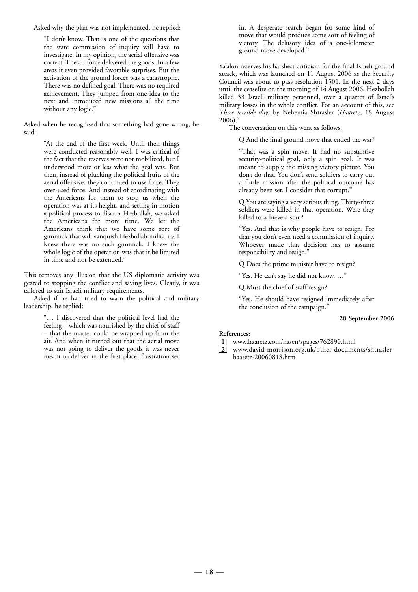Asked why the plan was not implemented, he replied:

"I don't know. That is one of the questions that the state commission of inquiry will have to investigate. In my opinion, the aerial offensive was correct. The air force delivered the goods. In a few areas it even provided favorable surprises. But the activation of the ground forces was a catastrophe. There was no defined goal. There was no required achievement. They jumped from one idea to the next and introduced new missions all the time without any logic."

Asked when he recognised that something had gone wrong, he said:

> "At the end of the first week. Until then things were conducted reasonably well. I was critical of the fact that the reserves were not mobilized, but I understood more or less what the goal was. But then, instead of plucking the political fruits of the aerial offensive, they continued to use force. They over-used force. And instead of coordinating with the Americans for them to stop us when the operation was at its height, and setting in motion a political process to disarm Hezbollah, we asked the Americans for more time. We let the Americans think that we have some sort of gimmick that will vanquish Hezbollah militarily. I knew there was no such gimmick. I knew the whole logic of the operation was that it be limited in time and not be extended."

This removes any illusion that the US diplomatic activity was geared to stopping the conflict and saving lives. Clearly, it was tailored to suit Israeli military requirements.

Asked if he had tried to warn the political and military leadership, he replied:

> "… I discovered that the political level had the feeling – which was nourished by the chief of staff – that the matter could be wrapped up from the air. And when it turned out that the aerial move was not going to deliver the goods it was never meant to deliver in the first place, frustration set

in. A desperate search began for some kind of move that would produce some sort of feeling of victory. The delusory idea of a one-kilometer ground move developed."

Ya'alon reserves his harshest criticism for the final Israeli ground attack, which was launched on 11 August 2006 as the Security Council was about to pass resolution 1501. In the next 2 days until the ceasefire on the morning of 14 August 2006, Hezbollah killed 33 Israeli military personnel, over a quarter of Israel's military losses in the whole conflict. For an account of this, see *Three terrible days* by Nehemia Shtrasler (*Haaretz*, 18 August 2006).2

The conversation on this went as follows:

Q And the final ground move that ended the war?

"That was a spin move. It had no substantive security-political goal, only a spin goal. It was meant to supply the missing victory picture. You don't do that. You don't send soldiers to carry out a futile mission after the political outcome has already been set. I consider that corrupt."

Q You are saying a very serious thing. Thirty-three soldiers were killed in that operation. Were they killed to achieve a spin?

"Yes. And that is why people have to resign. For that you don't even need a commission of inquiry. Whoever made that decision has to assume responsibility and resign."

Q Does the prime minister have to resign?

"Yes. He can't say he did not know. …"

Q Must the chief of staff resign?

"Yes. He should have resigned immediately after the conclusion of the campaign."

#### **28 September 2006**

- **[1]** www.haaretz.com/hasen/spages/762890.html
- **[2]** www.david-morrison.org.uk/other-documents/shtraslerhaaretz-20060818.htm